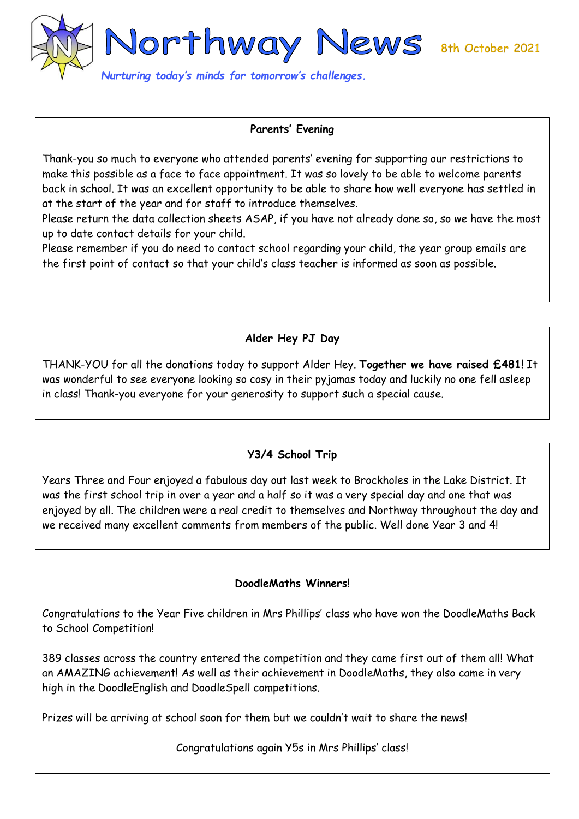

#### **Parents' Evening**

Thank-you so much to everyone who attended parents' evening for supporting our restrictions to make this possible as a face to face appointment. It was so lovely to be able to welcome parents back in school. It was an excellent opportunity to be able to share how well everyone has settled in at the start of the year and for staff to introduce themselves.

Please return the data collection sheets ASAP, if you have not already done so, so we have the most up to date contact details for your child.

Please remember if you do need to contact school regarding your child, the year group emails are the first point of contact so that your child's class teacher is informed as soon as possible.

## **Alder Hey PJ Day**

THANK-YOU for all the donations today to support Alder Hey. **Together we have raised £481!** It was wonderful to see everyone looking so cosy in their pyjamas today and luckily no one fell asleep in class! Thank-you everyone for your generosity to support such a special cause.

# **Y3/4 School Trip**

Years Three and Four enjoyed a fabulous day out last week to Brockholes in the Lake District. It was the first school trip in over a year and a half so it was a very special day and one that was enjoyed by all. The children were a real credit to themselves and Northway throughout the day and we received many excellent comments from members of the public. Well done Year 3 and 4!

#### **DoodleMaths Winners!**

Congratulations to the Year Five children in Mrs Phillips' class who have won the DoodleMaths Back to School Competition!

389 classes across the country entered the competition and they came first out of them all! What an AMAZING achievement! As well as their achievement in DoodleMaths, they also came in very high in the DoodleEnglish and DoodleSpell competitions.

Prizes will be arriving at school soon for them but we couldn't wait to share the news!

Congratulations again Y5s in Mrs Phillips' class!